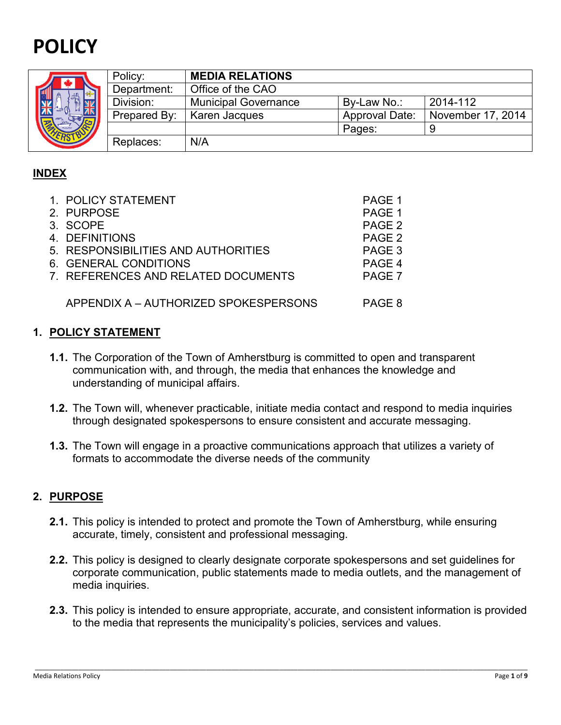# **POLICY**



|  | Policy:      | <b>MEDIA RELATIONS</b>      |                       |                   |
|--|--------------|-----------------------------|-----------------------|-------------------|
|  | Department:  | Office of the CAO           |                       |                   |
|  | Division:    | <b>Municipal Governance</b> | By-Law No.:           | 2014-112          |
|  | Prepared By: | Karen Jacques               | <b>Approval Date:</b> | November 17, 2014 |
|  |              |                             | Pages:                |                   |
|  | Replaces:    | N/A                         |                       |                   |

## **INDEX**

| 1. POLICY STATEMENT                   | PAGE 1            |
|---------------------------------------|-------------------|
| 2. PURPOSE                            | PAGE 1            |
| 3. SCOPE                              | PAGE <sub>2</sub> |
| 4. DEFINITIONS                        | PAGE <sub>2</sub> |
| 5. RESPONSIBILITIES AND AUTHORITIES   | PAGE 3            |
| 6. GENERAL CONDITIONS                 | PAGE 4            |
| 7. REFERENCES AND RELATED DOCUMENTS   | PAGE 7            |
|                                       |                   |
| APPENDIX A - AUTHORIZED SPOKESPERSONS | PAGE 8            |

## **1. POLICY STATEMENT**

- **1.1.** The Corporation of the Town of Amherstburg is committed to open and transparent communication with, and through, the media that enhances the knowledge and understanding of municipal affairs.
- **1.2.** The Town will, whenever practicable, initiate media contact and respond to media inquiries through designated spokespersons to ensure consistent and accurate messaging.
- **1.3.** The Town will engage in a proactive communications approach that utilizes a variety of formats to accommodate the diverse needs of the community

## **2. PURPOSE**

- **2.1.** This policy is intended to protect and promote the Town of Amherstburg, while ensuring accurate, timely, consistent and professional messaging.
- **2.2.** This policy is designed to clearly designate corporate spokespersons and set guidelines for corporate communication, public statements made to media outlets, and the management of media inquiries.
- **2.3.** This policy is intended to ensure appropriate, accurate, and consistent information is provided to the media that represents the municipality's policies, services and values.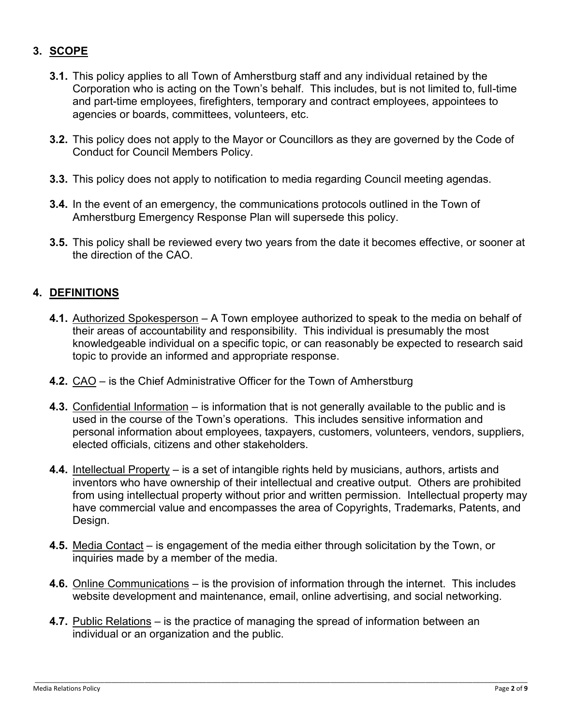## **3. SCOPE**

- **3.1.** This policy applies to all Town of Amherstburg staff and any individual retained by the Corporation who is acting on the Town's behalf. This includes, but is not limited to, full-time and part-time employees, firefighters, temporary and contract employees, appointees to agencies or boards, committees, volunteers, etc.
- **3.2.** This policy does not apply to the Mayor or Councillors as they are governed by the Code of Conduct for Council Members Policy.
- **3.3.** This policy does not apply to notification to media regarding Council meeting agendas.
- **3.4.** In the event of an emergency, the communications protocols outlined in the Town of Amherstburg Emergency Response Plan will supersede this policy.
- **3.5.** This policy shall be reviewed every two years from the date it becomes effective, or sooner at the direction of the CAO.

## **4. DEFINITIONS**

- **4.1.** Authorized Spokesperson A Town employee authorized to speak to the media on behalf of their areas of accountability and responsibility. This individual is presumably the most knowledgeable individual on a specific topic, or can reasonably be expected to research said topic to provide an informed and appropriate response.
- **4.2.** CAO is the Chief Administrative Officer for the Town of Amherstburg
- **4.3.** Confidential Information is information that is not generally available to the public and is used in the course of the Town's operations. This includes sensitive information and personal information about employees, taxpayers, customers, volunteers, vendors, suppliers, elected officials, citizens and other stakeholders.
- **4.4.** Intellectual Property is a set of intangible rights held by musicians, authors, artists and inventors who have ownership of their intellectual and creative output. Others are prohibited from using intellectual property without prior and written permission. Intellectual property may have commercial value and encompasses the area of Copyrights, Trademarks, Patents, and Design.
- **4.5.** Media Contact is engagement of the media either through solicitation by the Town, or inquiries made by a member of the media.
- **4.6.** Online Communications is the provision of information through the internet. This includes website development and maintenance, email, online advertising, and social networking.

\_\_\_\_\_\_\_\_\_\_\_\_\_\_\_\_\_\_\_\_\_\_\_\_\_\_\_\_\_\_\_\_\_\_\_\_\_\_\_\_\_\_\_\_\_\_\_\_\_\_\_\_\_\_\_\_\_\_\_\_\_\_\_\_\_\_\_\_\_\_\_\_\_\_\_\_\_\_\_\_\_\_\_\_\_\_\_\_\_\_\_\_\_\_\_\_\_\_\_\_\_\_\_\_\_\_\_\_\_\_\_\_\_\_\_\_\_\_\_\_\_\_\_\_\_\_\_\_\_\_\_\_\_\_\_

**4.7.** Public Relations – is the practice of managing the spread of information between an individual or an organization and the public.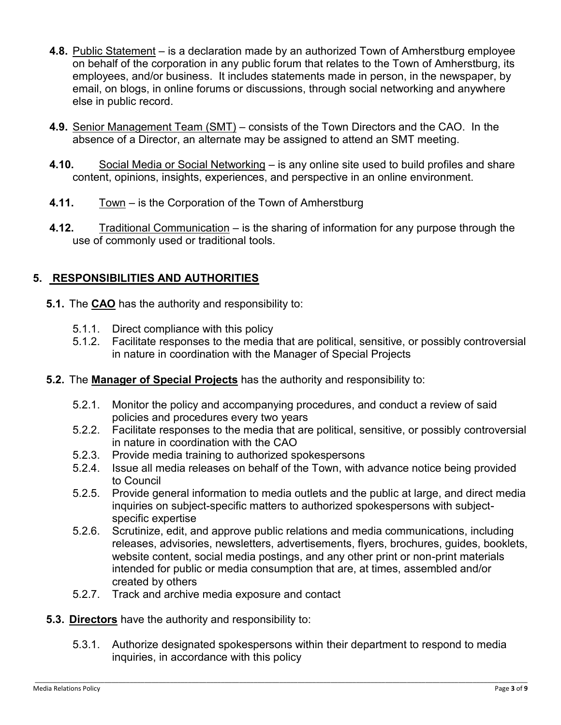- **4.8.** Public Statement is a declaration made by an authorized Town of Amherstburg employee on behalf of the corporation in any public forum that relates to the Town of Amherstburg, its employees, and/or business. It includes statements made in person, in the newspaper, by email, on blogs, in online forums or discussions, through social networking and anywhere else in public record.
- **4.9.** Senior Management Team (SMT) consists of the Town Directors and the CAO. In the absence of a Director, an alternate may be assigned to attend an SMT meeting.
- **4.10.** Social Media or Social Networking is any online site used to build profiles and share content, opinions, insights, experiences, and perspective in an online environment.
- **4.11.** Town is the Corporation of the Town of Amherstburg
- **4.12.** Traditional Communication is the sharing of information for any purpose through the use of commonly used or traditional tools.

# **5. RESPONSIBILITIES AND AUTHORITIES**

- **5.1.** The **CAO** has the authority and responsibility to:
	- 5.1.1. Direct compliance with this policy
	- 5.1.2. Facilitate responses to the media that are political, sensitive, or possibly controversial in nature in coordination with the Manager of Special Projects
- **5.2.** The **Manager of Special Projects** has the authority and responsibility to:
	- 5.2.1. Monitor the policy and accompanying procedures, and conduct a review of said policies and procedures every two years
	- 5.2.2. Facilitate responses to the media that are political, sensitive, or possibly controversial in nature in coordination with the CAO
	- 5.2.3. Provide media training to authorized spokespersons
	- 5.2.4. Issue all media releases on behalf of the Town, with advance notice being provided to Council
	- 5.2.5. Provide general information to media outlets and the public at large, and direct media inquiries on subject-specific matters to authorized spokespersons with subjectspecific expertise
	- 5.2.6. Scrutinize, edit, and approve public relations and media communications, including releases, advisories, newsletters, advertisements, flyers, brochures, guides, booklets, website content, social media postings, and any other print or non-print materials intended for public or media consumption that are, at times, assembled and/or created by others
	- 5.2.7. Track and archive media exposure and contact
- **5.3. Directors** have the authority and responsibility to:
	- 5.3.1. Authorize designated spokespersons within their department to respond to media inquiries, in accordance with this policy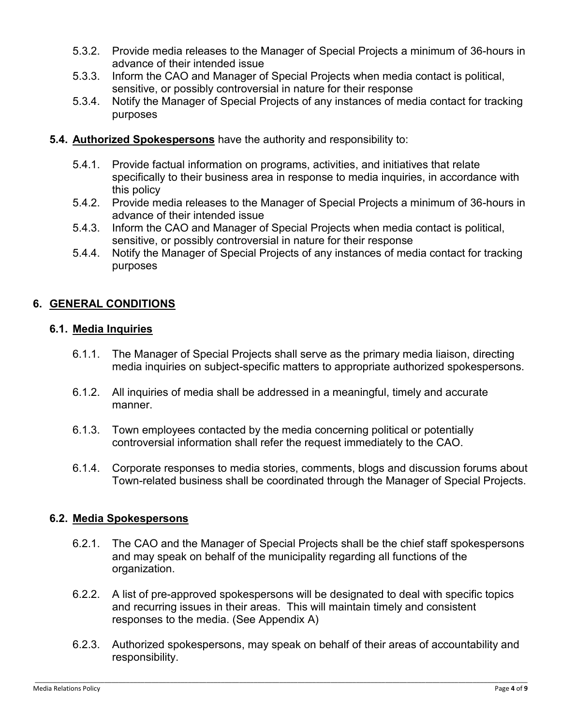- 5.3.2. Provide media releases to the Manager of Special Projects a minimum of 36-hours in advance of their intended issue
- 5.3.3. Inform the CAO and Manager of Special Projects when media contact is political, sensitive, or possibly controversial in nature for their response
- 5.3.4. Notify the Manager of Special Projects of any instances of media contact for tracking purposes
- **5.4. Authorized Spokespersons** have the authority and responsibility to:
	- 5.4.1. Provide factual information on programs, activities, and initiatives that relate specifically to their business area in response to media inquiries, in accordance with this policy
	- 5.4.2. Provide media releases to the Manager of Special Projects a minimum of 36-hours in advance of their intended issue
	- 5.4.3. Inform the CAO and Manager of Special Projects when media contact is political, sensitive, or possibly controversial in nature for their response
	- 5.4.4. Notify the Manager of Special Projects of any instances of media contact for tracking purposes

## **6. GENERAL CONDITIONS**

#### **6.1. Media Inquiries**

- 6.1.1. The Manager of Special Projects shall serve as the primary media liaison, directing media inquiries on subject-specific matters to appropriate authorized spokespersons.
- 6.1.2. All inquiries of media shall be addressed in a meaningful, timely and accurate manner.
- 6.1.3. Town employees contacted by the media concerning political or potentially controversial information shall refer the request immediately to the CAO.
- 6.1.4. Corporate responses to media stories, comments, blogs and discussion forums about Town-related business shall be coordinated through the Manager of Special Projects.

## **6.2. Media Spokespersons**

- 6.2.1. The CAO and the Manager of Special Projects shall be the chief staff spokespersons and may speak on behalf of the municipality regarding all functions of the organization.
- 6.2.2. A list of pre-approved spokespersons will be designated to deal with specific topics and recurring issues in their areas. This will maintain timely and consistent responses to the media. (See Appendix A)
- 6.2.3. Authorized spokespersons, may speak on behalf of their areas of accountability and responsibility.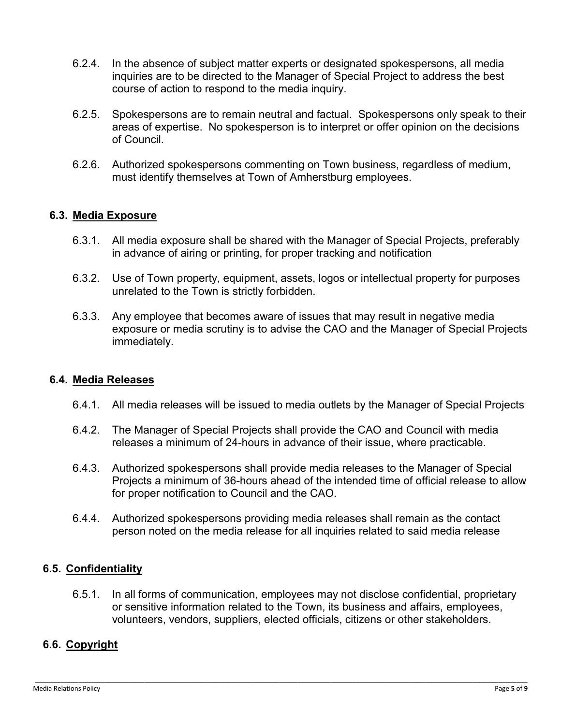- 6.2.4. In the absence of subject matter experts or designated spokespersons, all media inquiries are to be directed to the Manager of Special Project to address the best course of action to respond to the media inquiry.
- 6.2.5. Spokespersons are to remain neutral and factual. Spokespersons only speak to their areas of expertise. No spokesperson is to interpret or offer opinion on the decisions of Council.
- 6.2.6. Authorized spokespersons commenting on Town business, regardless of medium, must identify themselves at Town of Amherstburg employees.

## **6.3. Media Exposure**

- 6.3.1. All media exposure shall be shared with the Manager of Special Projects, preferably in advance of airing or printing, for proper tracking and notification
- 6.3.2. Use of Town property, equipment, assets, logos or intellectual property for purposes unrelated to the Town is strictly forbidden.
- 6.3.3. Any employee that becomes aware of issues that may result in negative media exposure or media scrutiny is to advise the CAO and the Manager of Special Projects immediately.

#### **6.4. Media Releases**

- 6.4.1. All media releases will be issued to media outlets by the Manager of Special Projects
- 6.4.2. The Manager of Special Projects shall provide the CAO and Council with media releases a minimum of 24-hours in advance of their issue, where practicable.
- 6.4.3. Authorized spokespersons shall provide media releases to the Manager of Special Projects a minimum of 36-hours ahead of the intended time of official release to allow for proper notification to Council and the CAO.
- 6.4.4. Authorized spokespersons providing media releases shall remain as the contact person noted on the media release for all inquiries related to said media release

#### **6.5. Confidentiality**

6.5.1. In all forms of communication, employees may not disclose confidential, proprietary or sensitive information related to the Town, its business and affairs, employees, volunteers, vendors, suppliers, elected officials, citizens or other stakeholders.

\_\_\_\_\_\_\_\_\_\_\_\_\_\_\_\_\_\_\_\_\_\_\_\_\_\_\_\_\_\_\_\_\_\_\_\_\_\_\_\_\_\_\_\_\_\_\_\_\_\_\_\_\_\_\_\_\_\_\_\_\_\_\_\_\_\_\_\_\_\_\_\_\_\_\_\_\_\_\_\_\_\_\_\_\_\_\_\_\_\_\_\_\_\_\_\_\_\_\_\_\_\_\_\_\_\_\_\_\_\_\_\_\_\_\_\_\_\_\_\_\_\_\_\_\_\_\_\_\_\_\_\_\_\_\_

## **6.6. Copyright**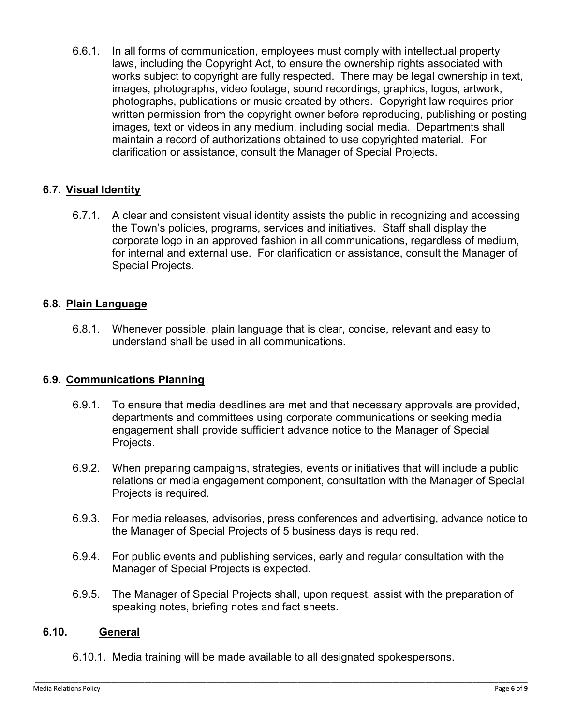6.6.1. In all forms of communication, employees must comply with intellectual property laws, including the Copyright Act, to ensure the ownership rights associated with works subject to copyright are fully respected. There may be legal ownership in text, images, photographs, video footage, sound recordings, graphics, logos, artwork, photographs, publications or music created by others. Copyright law requires prior written permission from the copyright owner before reproducing, publishing or posting images, text or videos in any medium, including social media. Departments shall maintain a record of authorizations obtained to use copyrighted material. For clarification or assistance, consult the Manager of Special Projects.

## **6.7. Visual Identity**

6.7.1. A clear and consistent visual identity assists the public in recognizing and accessing the Town's policies, programs, services and initiatives. Staff shall display the corporate logo in an approved fashion in all communications, regardless of medium, for internal and external use. For clarification or assistance, consult the Manager of Special Projects.

#### **6.8. Plain Language**

6.8.1. Whenever possible, plain language that is clear, concise, relevant and easy to understand shall be used in all communications.

#### **6.9. Communications Planning**

- 6.9.1. To ensure that media deadlines are met and that necessary approvals are provided, departments and committees using corporate communications or seeking media engagement shall provide sufficient advance notice to the Manager of Special Projects.
- 6.9.2. When preparing campaigns, strategies, events or initiatives that will include a public relations or media engagement component, consultation with the Manager of Special Projects is required.
- 6.9.3. For media releases, advisories, press conferences and advertising, advance notice to the Manager of Special Projects of 5 business days is required.
- 6.9.4. For public events and publishing services, early and regular consultation with the Manager of Special Projects is expected.
- 6.9.5. The Manager of Special Projects shall, upon request, assist with the preparation of speaking notes, briefing notes and fact sheets.

#### **6.10. General**

6.10.1. Media training will be made available to all designated spokespersons.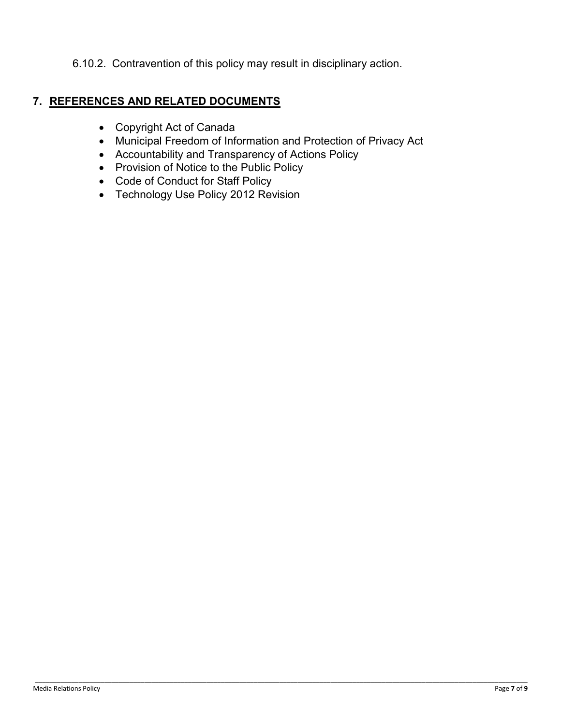6.10.2. Contravention of this policy may result in disciplinary action.

## **7. REFERENCES AND RELATED DOCUMENTS**

- Copyright Act of Canada
- Municipal Freedom of Information and Protection of Privacy Act

- Accountability and Transparency of Actions Policy
- Provision of Notice to the Public Policy
- Code of Conduct for Staff Policy
- Technology Use Policy 2012 Revision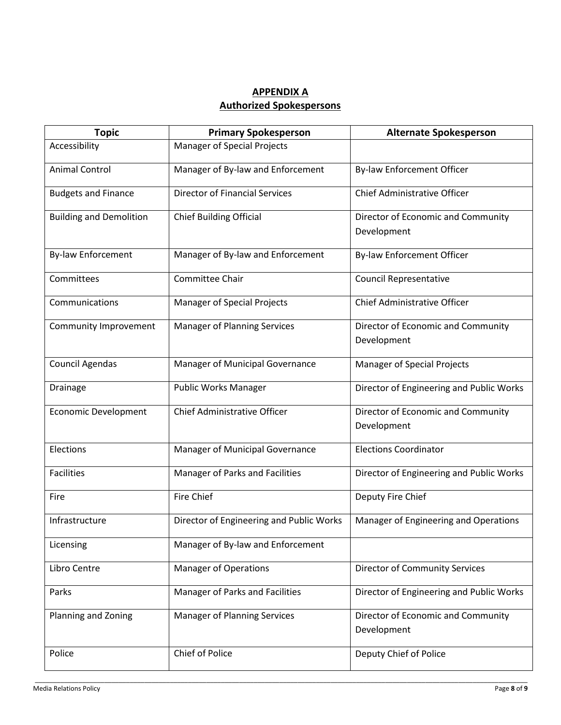## **APPENDIX A Authorized Spokespersons**

| <b>Topic</b>                   | <b>Primary Spokesperson</b>              | <b>Alternate Spokesperson</b>                     |
|--------------------------------|------------------------------------------|---------------------------------------------------|
| Accessibility                  | <b>Manager of Special Projects</b>       |                                                   |
| <b>Animal Control</b>          | Manager of By-law and Enforcement        | <b>By-law Enforcement Officer</b>                 |
| <b>Budgets and Finance</b>     | <b>Director of Financial Services</b>    | Chief Administrative Officer                      |
| <b>Building and Demolition</b> | <b>Chief Building Official</b>           | Director of Economic and Community<br>Development |
| <b>By-law Enforcement</b>      | Manager of By-law and Enforcement        | By-law Enforcement Officer                        |
| Committees                     | <b>Committee Chair</b>                   | <b>Council Representative</b>                     |
| Communications                 | <b>Manager of Special Projects</b>       | Chief Administrative Officer                      |
| Community Improvement          | <b>Manager of Planning Services</b>      | Director of Economic and Community<br>Development |
| Council Agendas                | Manager of Municipal Governance          | <b>Manager of Special Projects</b>                |
| <b>Drainage</b>                | Public Works Manager                     | Director of Engineering and Public Works          |
| <b>Economic Development</b>    | <b>Chief Administrative Officer</b>      | Director of Economic and Community<br>Development |
| Elections                      | Manager of Municipal Governance          | <b>Elections Coordinator</b>                      |
| <b>Facilities</b>              | Manager of Parks and Facilities          | Director of Engineering and Public Works          |
| Fire                           | Fire Chief                               | Deputy Fire Chief                                 |
| Infrastructure                 | Director of Engineering and Public Works | Manager of Engineering and Operations             |
| Licensing                      | Manager of By-law and Enforcement        |                                                   |
| Libro Centre                   | <b>Manager of Operations</b>             | <b>Director of Community Services</b>             |
| Parks                          | Manager of Parks and Facilities          | Director of Engineering and Public Works          |
| Planning and Zoning            | <b>Manager of Planning Services</b>      | Director of Economic and Community<br>Development |
| Police                         | Chief of Police                          | Deputy Chief of Police                            |